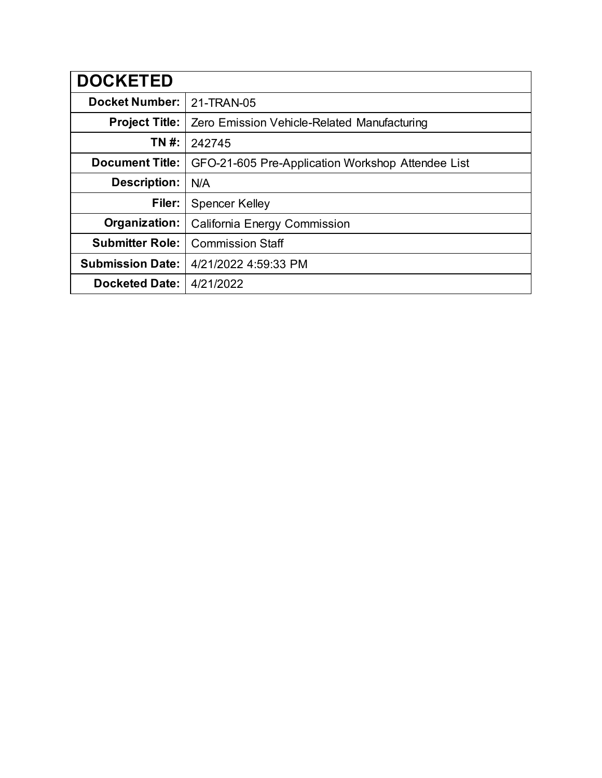| <b>DOCKETED</b>         |                                                   |
|-------------------------|---------------------------------------------------|
| <b>Docket Number:</b>   | 21-TRAN-05                                        |
| <b>Project Title:</b>   | Zero Emission Vehicle-Related Manufacturing       |
| TN #:                   | 242745                                            |
| <b>Document Title:</b>  | GFO-21-605 Pre-Application Workshop Attendee List |
| <b>Description:</b>     | N/A                                               |
| Filer:                  | <b>Spencer Kelley</b>                             |
| Organization:           | California Energy Commission                      |
| <b>Submitter Role:</b>  | <b>Commission Staff</b>                           |
| <b>Submission Date:</b> | 4/21/2022 4:59:33 PM                              |
| <b>Docketed Date:</b>   | 4/21/2022                                         |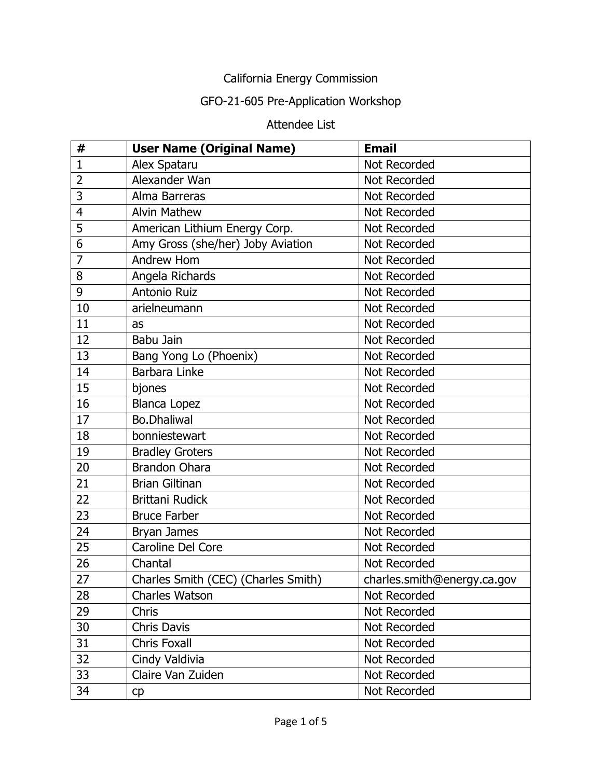## California Energy Commission

## GFO-21-605 Pre-Application Workshop

## Attendee List

| #              | <b>User Name (Original Name)</b>    | <b>Email</b>                |
|----------------|-------------------------------------|-----------------------------|
| $\mathbf{1}$   | Alex Spataru                        | Not Recorded                |
| $\overline{2}$ | Alexander Wan                       | Not Recorded                |
| 3              | Alma Barreras                       | Not Recorded                |
| $\overline{4}$ | <b>Alvin Mathew</b>                 | Not Recorded                |
| 5              | American Lithium Energy Corp.       | Not Recorded                |
| 6              | Amy Gross (she/her) Joby Aviation   | Not Recorded                |
| $\overline{7}$ | Andrew Hom                          | Not Recorded                |
| 8              | Angela Richards                     | Not Recorded                |
| 9              | <b>Antonio Ruiz</b>                 | Not Recorded                |
| 10             | arielneumann                        | Not Recorded                |
| 11             | as                                  | Not Recorded                |
| 12             | Babu Jain                           | Not Recorded                |
| 13             | Bang Yong Lo (Phoenix)              | Not Recorded                |
| 14             | Barbara Linke                       | Not Recorded                |
| 15             | bjones                              | Not Recorded                |
| 16             | <b>Blanca Lopez</b>                 | Not Recorded                |
| 17             | <b>Bo.Dhaliwal</b>                  | Not Recorded                |
| 18             | bonniestewart                       | Not Recorded                |
| 19             | <b>Bradley Groters</b>              | Not Recorded                |
| 20             | <b>Brandon Ohara</b>                | Not Recorded                |
| 21             | <b>Brian Giltinan</b>               | Not Recorded                |
| 22             | <b>Brittani Rudick</b>              | Not Recorded                |
| 23             | <b>Bruce Farber</b>                 | Not Recorded                |
| 24             | Bryan James                         | Not Recorded                |
| 25             | Caroline Del Core                   | Not Recorded                |
| 26             | Chantal                             | Not Recorded                |
| 27             | Charles Smith (CEC) (Charles Smith) | charles.smith@energy.ca.gov |
| 28             | <b>Charles Watson</b>               | Not Recorded                |
| 29             | <b>Chris</b>                        | Not Recorded                |
| 30             | <b>Chris Davis</b>                  | Not Recorded                |
| 31             | <b>Chris Foxall</b>                 | Not Recorded                |
| 32             | Cindy Valdivia                      | Not Recorded                |
| 33             | Claire Van Zuiden                   | Not Recorded                |
| 34             | cp                                  | Not Recorded                |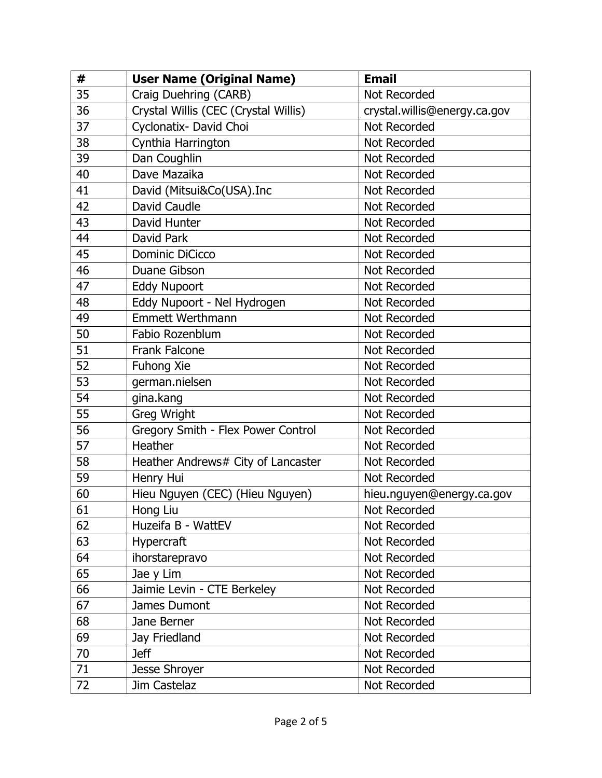| #  | <b>User Name (Original Name)</b>     | <b>Email</b>                 |
|----|--------------------------------------|------------------------------|
| 35 | Craig Duehring (CARB)                | Not Recorded                 |
| 36 | Crystal Willis (CEC (Crystal Willis) | crystal.willis@energy.ca.gov |
| 37 | Cyclonatix- David Choi               | Not Recorded                 |
| 38 | Cynthia Harrington                   | Not Recorded                 |
| 39 | Dan Coughlin                         | Not Recorded                 |
| 40 | Dave Mazaika                         | Not Recorded                 |
| 41 | David (Mitsui&Co(USA).Inc            | Not Recorded                 |
| 42 | David Caudle                         | <b>Not Recorded</b>          |
| 43 | David Hunter                         | Not Recorded                 |
| 44 | David Park                           | <b>Not Recorded</b>          |
| 45 | <b>Dominic DiCicco</b>               | Not Recorded                 |
| 46 | Duane Gibson                         | Not Recorded                 |
| 47 | <b>Eddy Nupoort</b>                  | <b>Not Recorded</b>          |
| 48 | Eddy Nupoort - Nel Hydrogen          | Not Recorded                 |
| 49 | <b>Emmett Werthmann</b>              | <b>Not Recorded</b>          |
| 50 | Fabio Rozenblum                      | Not Recorded                 |
| 51 | <b>Frank Falcone</b>                 | Not Recorded                 |
| 52 | Fuhong Xie                           | Not Recorded                 |
| 53 | german.nielsen                       | Not Recorded                 |
| 54 | gina.kang                            | Not Recorded                 |
| 55 | Greg Wright                          | Not Recorded                 |
| 56 | Gregory Smith - Flex Power Control   | Not Recorded                 |
| 57 | Heather                              | Not Recorded                 |
| 58 | Heather Andrews# City of Lancaster   | Not Recorded                 |
| 59 | Henry Hui                            | Not Recorded                 |
| 60 | Hieu Nguyen (CEC) (Hieu Nguyen)      | hieu.nguyen@energy.ca.gov    |
| 61 | Hong Liu                             | Not Recorded                 |
| 62 | Huzeifa B - WattEV                   | Not Recorded                 |
| 63 | Hypercraft                           | Not Recorded                 |
| 64 | ihorstarepravo                       | Not Recorded                 |
| 65 | Jae y Lim                            | Not Recorded                 |
| 66 | Jaimie Levin - CTE Berkeley          | Not Recorded                 |
| 67 | James Dumont                         | Not Recorded                 |
| 68 | Jane Berner                          | Not Recorded                 |
| 69 | Jay Friedland                        | Not Recorded                 |
| 70 | <b>Jeff</b>                          | Not Recorded                 |
| 71 | Jesse Shroyer                        | Not Recorded                 |
| 72 | Jim Castelaz                         | Not Recorded                 |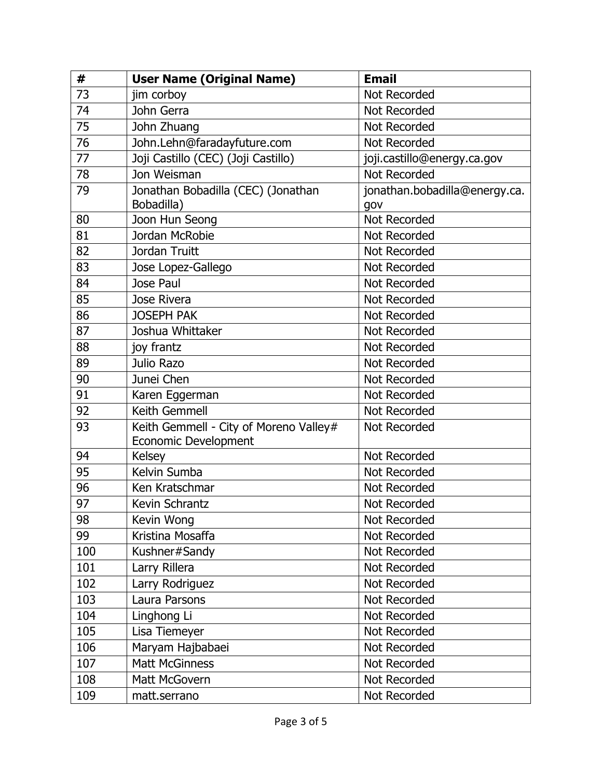| #   | <b>User Name (Original Name)</b>                                      | <b>Email</b>                         |
|-----|-----------------------------------------------------------------------|--------------------------------------|
| 73  | jim corboy                                                            | Not Recorded                         |
| 74  | John Gerra                                                            | Not Recorded                         |
| 75  | John Zhuang                                                           | Not Recorded                         |
| 76  | John.Lehn@faradayfuture.com                                           | Not Recorded                         |
| 77  | Joji Castillo (CEC) (Joji Castillo)                                   | joji.castillo@energy.ca.gov          |
| 78  | Jon Weisman                                                           | Not Recorded                         |
| 79  | Jonathan Bobadilla (CEC) (Jonathan<br>Bobadilla)                      | jonathan.bobadilla@energy.ca.<br>gov |
| 80  | Joon Hun Seong                                                        | Not Recorded                         |
| 81  | Jordan McRobie                                                        | Not Recorded                         |
| 82  | Jordan Truitt                                                         | Not Recorded                         |
| 83  | Jose Lopez-Gallego                                                    | Not Recorded                         |
| 84  | Jose Paul                                                             | Not Recorded                         |
| 85  | Jose Rivera                                                           | Not Recorded                         |
| 86  | <b>JOSEPH PAK</b>                                                     | Not Recorded                         |
| 87  | Joshua Whittaker                                                      | Not Recorded                         |
| 88  | joy frantz                                                            | <b>Not Recorded</b>                  |
| 89  | Julio Razo                                                            | Not Recorded                         |
| 90  | Junei Chen                                                            | Not Recorded                         |
| 91  | Karen Eggerman                                                        | <b>Not Recorded</b>                  |
| 92  | Keith Gemmell                                                         | Not Recorded                         |
| 93  | Keith Gemmell - City of Moreno Valley#<br><b>Economic Development</b> | Not Recorded                         |
| 94  | <b>Kelsey</b>                                                         | Not Recorded                         |
| 95  | Kelvin Sumba                                                          | Not Recorded                         |
| 96  | Ken Kratschmar                                                        | Not Recorded                         |
| 97  | Kevin Schrantz                                                        | <b>Not Recorded</b>                  |
| 98  | Kevin Wong                                                            | Not Recorded                         |
| 99  | Kristina Mosaffa                                                      | Not Recorded                         |
| 100 | Kushner#Sandy                                                         | Not Recorded                         |
| 101 | Larry Rillera                                                         | Not Recorded                         |
| 102 | Larry Rodriguez                                                       | Not Recorded                         |
| 103 | Laura Parsons                                                         | Not Recorded                         |
| 104 | Linghong Li                                                           | Not Recorded                         |
| 105 | Lisa Tiemeyer                                                         | Not Recorded                         |
| 106 | Maryam Hajbabaei                                                      | Not Recorded                         |
| 107 | <b>Matt McGinness</b>                                                 | Not Recorded                         |
| 108 | Matt McGovern                                                         | Not Recorded                         |
| 109 | matt.serrano                                                          | Not Recorded                         |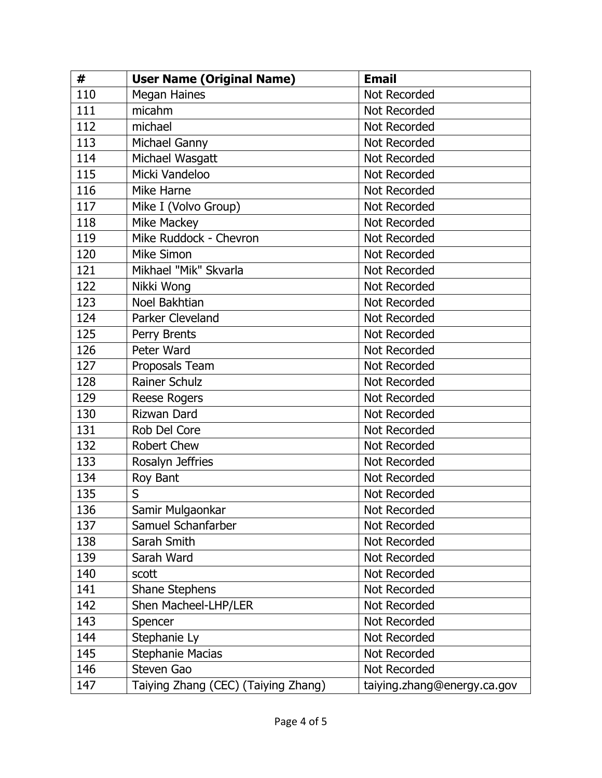| #   | <b>User Name (Original Name)</b>    | <b>Email</b>                |
|-----|-------------------------------------|-----------------------------|
| 110 | <b>Megan Haines</b>                 | Not Recorded                |
| 111 | micahm                              | Not Recorded                |
| 112 | michael                             | Not Recorded                |
| 113 | Michael Ganny                       | Not Recorded                |
| 114 | Michael Wasgatt                     | Not Recorded                |
| 115 | Micki Vandeloo                      | Not Recorded                |
| 116 | Mike Harne                          | Not Recorded                |
| 117 | Mike I (Volvo Group)                | <b>Not Recorded</b>         |
| 118 | Mike Mackey                         | Not Recorded                |
| 119 | Mike Ruddock - Chevron              | Not Recorded                |
| 120 | <b>Mike Simon</b>                   | Not Recorded                |
| 121 | Mikhael "Mik" Skvarla               | <b>Not Recorded</b>         |
| 122 | Nikki Wong                          | Not Recorded                |
| 123 | Noel Bakhtian                       | Not Recorded                |
| 124 | Parker Cleveland                    | Not Recorded                |
| 125 | Perry Brents                        | Not Recorded                |
| 126 | Peter Ward                          | Not Recorded                |
| 127 | Proposals Team                      | Not Recorded                |
| 128 | <b>Rainer Schulz</b>                | Not Recorded                |
| 129 | <b>Reese Rogers</b>                 | Not Recorded                |
| 130 | <b>Rizwan Dard</b>                  | <b>Not Recorded</b>         |
| 131 | Rob Del Core                        | Not Recorded                |
| 132 | <b>Robert Chew</b>                  | Not Recorded                |
| 133 | Rosalyn Jeffries                    | Not Recorded                |
| 134 | Roy Bant                            | Not Recorded                |
| 135 | S                                   | Not Recorded                |
| 136 | Samir Mulgaonkar                    | Not Recorded                |
| 137 | Samuel Schanfarber                  | Not Recorded                |
| 138 | Sarah Smith                         | Not Recorded                |
| 139 | Sarah Ward                          | Not Recorded                |
| 140 | scott                               | Not Recorded                |
| 141 | <b>Shane Stephens</b>               | Not Recorded                |
| 142 | Shen Macheel-LHP/LER                | Not Recorded                |
| 143 | Spencer                             | Not Recorded                |
| 144 | Stephanie Ly                        | Not Recorded                |
| 145 | <b>Stephanie Macias</b>             | Not Recorded                |
| 146 | Steven Gao                          | Not Recorded                |
| 147 | Taiying Zhang (CEC) (Taiying Zhang) | taiying.zhang@energy.ca.gov |